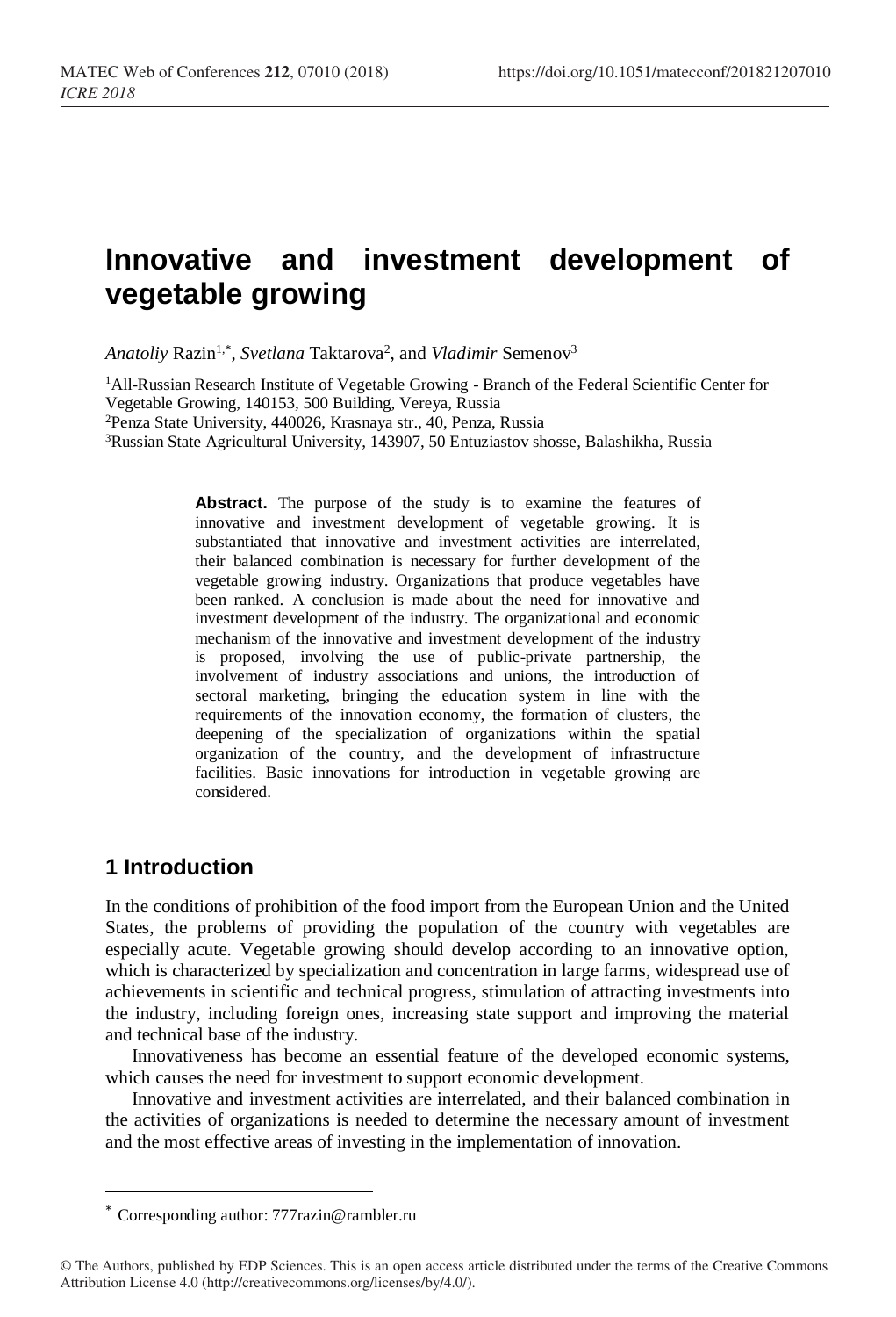# **Innovative and investment development of vegetable growing**

Anatoliy Razin<sup>1,\*</sup>, *Svetlana* Taktarova<sup>2</sup>, and *Vladimir* Semenov<sup>3</sup>

<sup>1</sup>All-Russian Research Institute of Vegetable Growing - Branch of the Federal Scientific Center for Vegetable Growing, 140153, 500 Building, Vereya, Russia

<sup>2</sup>Penza State University, 440026, Krasnaya str., 40, Penza, Russia

<sup>3</sup>Russian State Agricultural University, 143907, 50 Entuziastov shosse, Balashikha, Russia

Abstract. The purpose of the study is to examine the features of innovative and investment development of vegetable growing. It is substantiated that innovative and investment activities are interrelated, their balanced combination is necessary for further development of the vegetable growing industry. Organizations that produce vegetables have been ranked. A conclusion is made about the need for innovative and investment development of the industry. The organizational and economic mechanism of the innovative and investment development of the industry is proposed, involving the use of public-private partnership, the involvement of industry associations and unions, the introduction of sectoral marketing, bringing the education system in line with the requirements of the innovation economy, the formation of clusters, the deepening of the specialization of organizations within the spatial organization of the country, and the development of infrastructure facilities. Basic innovations for introduction in vegetable growing are considered.

#### **1 Introduction**

 $\overline{a}$ 

In the conditions of prohibition of the food import from the European Union and the United States, the problems of providing the population of the country with vegetables are especially acute. Vegetable growing should develop according to an innovative option, which is characterized by specialization and concentration in large farms, widespread use of achievements in scientific and technical progress, stimulation of attracting investments into the industry, including foreign ones, increasing state support and improving the material and technical base of the industry.

Innovativeness has become an essential feature of the developed economic systems, which causes the need for investment to support economic development.

Innovative and investment activities are interrelated, and their balanced combination in the activities of organizations is needed to determine the necessary amount of investment and the most effective areas of investing in the implementation of innovation.

<sup>\*</sup> Corresponding author: 777razin@rambler.ru

<sup>©</sup> The Authors, published by EDP Sciences. This is an open access article distributed under the terms of the Creative Commons Attribution License 4.0 (http://creativecommons.org/licenses/by/4.0/).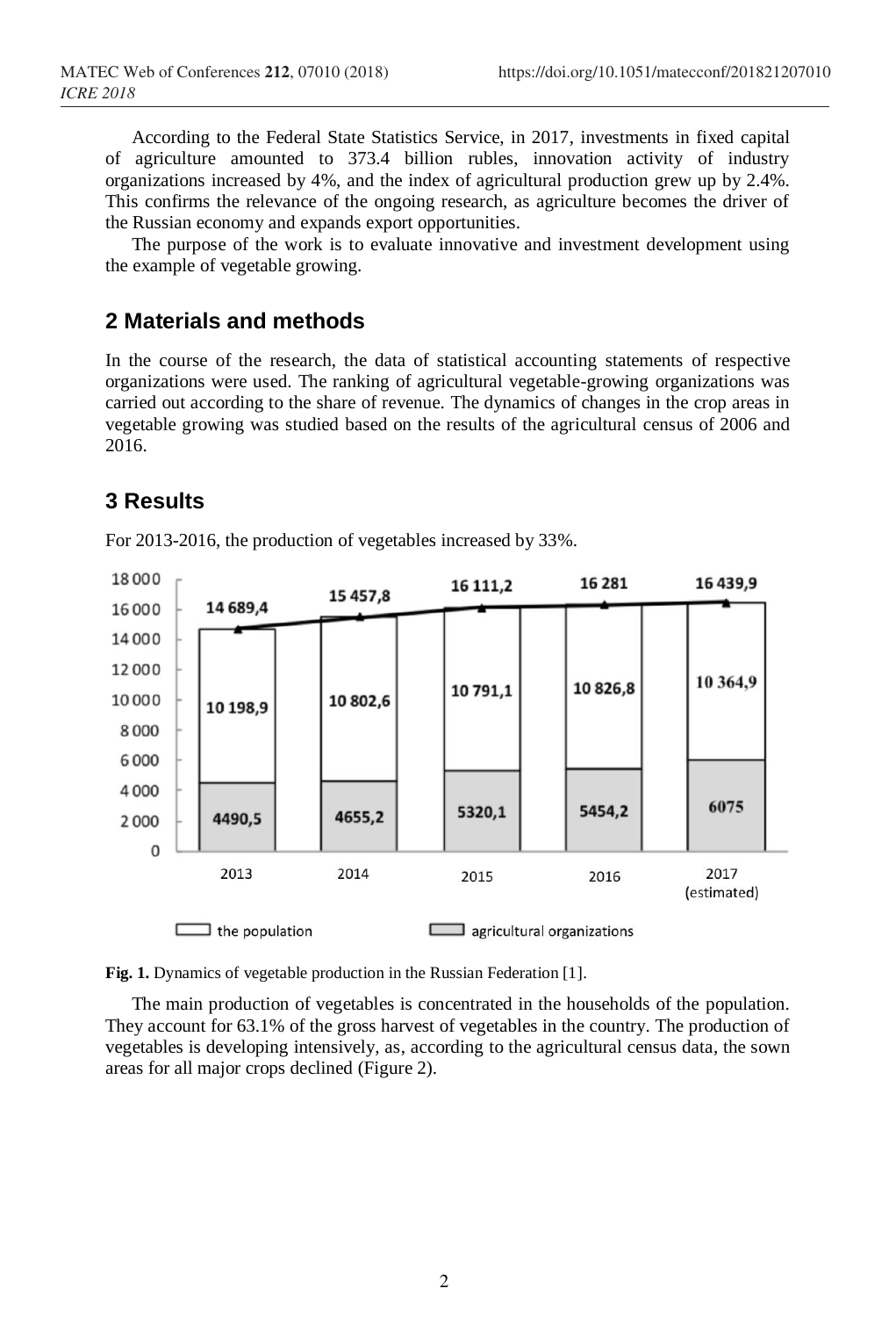According to the Federal State Statistics Service, in 2017, investments in fixed capital of agriculture amounted to 373.4 billion rubles, innovation activity of industry organizations increased by 4%, and the index of agricultural production grew up by 2.4%. This confirms the relevance of the ongoing research, as agriculture becomes the driver of the Russian economy and expands export opportunities.

The purpose of the work is to evaluate innovative and investment development using the example of vegetable growing.

#### **2 Materials and methods**

In the course of the research, the data of statistical accounting statements of respective organizations were used. The ranking of agricultural vegetable-growing organizations was carried out according to the share of revenue. The dynamics of changes in the crop areas in vegetable growing was studied based on the results of the agricultural census of 2006 and 2016.

## **3 Results**



For 2013-2016, the production of vegetables increased by 33%.

**Fig. 1.** Dynamics of vegetable production in the Russian Federation [1].

The main production of vegetables is concentrated in the households of the population. They account for 63.1% of the gross harvest of vegetables in the country. The production of vegetables is developing intensively, as, according to the agricultural census data, the sown areas for all major crops declined (Figure 2).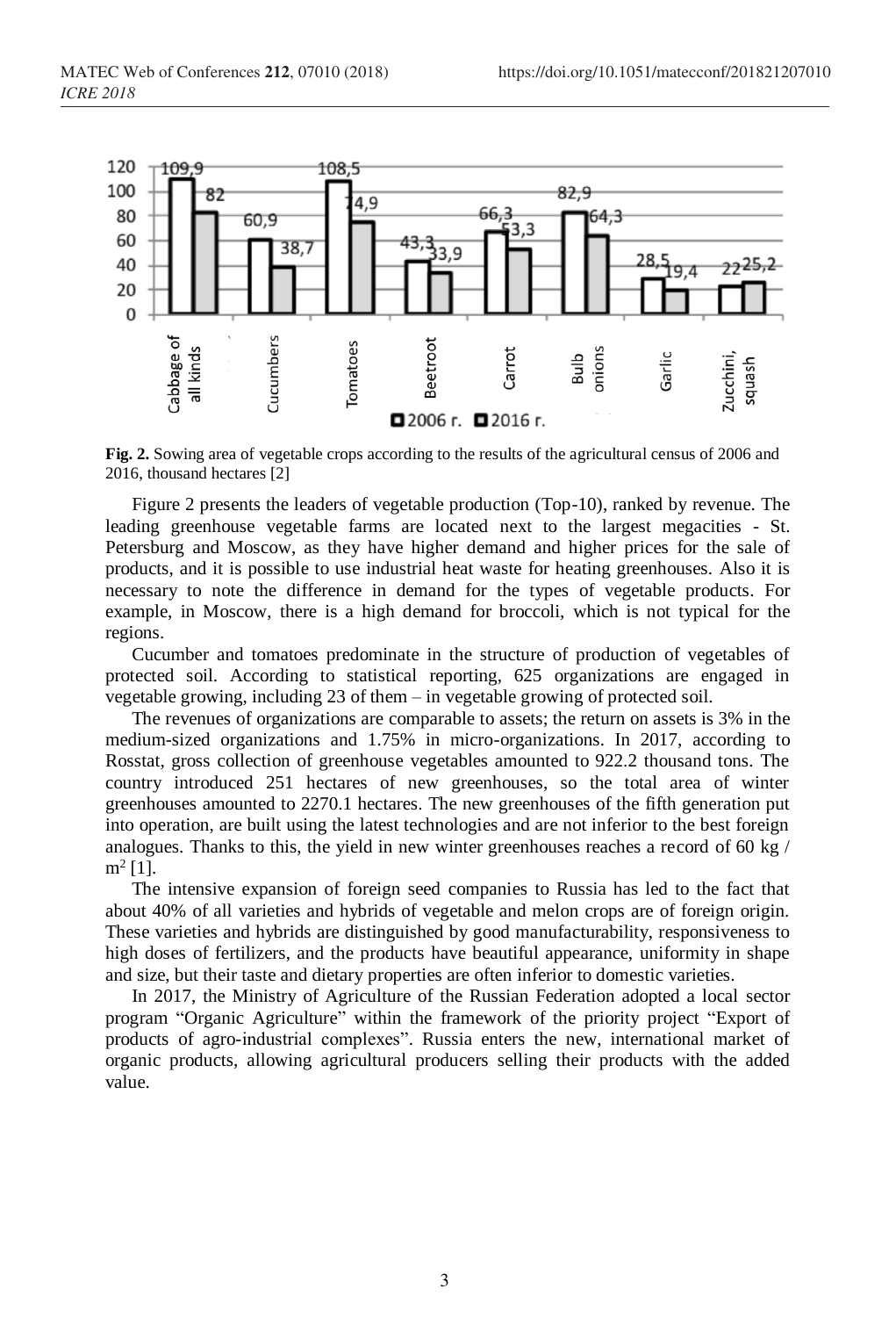

**Fig. 2.** Sowing area of vegetable crops according to the results of the agricultural census of 2006 and 2016, thousand hectares [2]

Figure 2 presents the leaders of vegetable production (Top-10), ranked by revenue. The leading greenhouse vegetable farms are located next to the largest megacities - St. Petersburg and Moscow, as they have higher demand and higher prices for the sale of products, and it is possible to use industrial heat waste for heating greenhouses. Also it is necessary to note the difference in demand for the types of vegetable products. For example, in Moscow, there is a high demand for broccoli, which is not typical for the regions.

Cucumber and tomatoes predominate in the structure of production of vegetables of protected soil. According to statistical reporting, 625 organizations are engaged in vegetable growing, including 23 of them – in vegetable growing of protected soil.

The revenues of organizations are comparable to assets; the return on assets is 3% in the medium-sized organizations and 1.75% in micro-organizations. In 2017, according to Rosstat, gross collection of greenhouse vegetables amounted to 922.2 thousand tons. The country introduced 251 hectares of new greenhouses, so the total area of winter greenhouses amounted to 2270.1 hectares. The new greenhouses of the fifth generation put into operation, are built using the latest technologies and are not inferior to the best foreign analogues. Thanks to this, the yield in new winter greenhouses reaches a record of 60 kg /  $m^2$  [1].

The intensive expansion of foreign seed companies to Russia has led to the fact that about 40% of all varieties and hybrids of vegetable and melon crops are of foreign origin. These varieties and hybrids are distinguished by good manufacturability, responsiveness to high doses of fertilizers, and the products have beautiful appearance, uniformity in shape and size, but their taste and dietary properties are often inferior to domestic varieties.

In 2017, the Ministry of Agriculture of the Russian Federation adopted a local sector program "Organic Agriculture" within the framework of the priority project "Export of products of agro-industrial complexes". Russia enters the new, international market of organic products, allowing agricultural producers selling their products with the added value.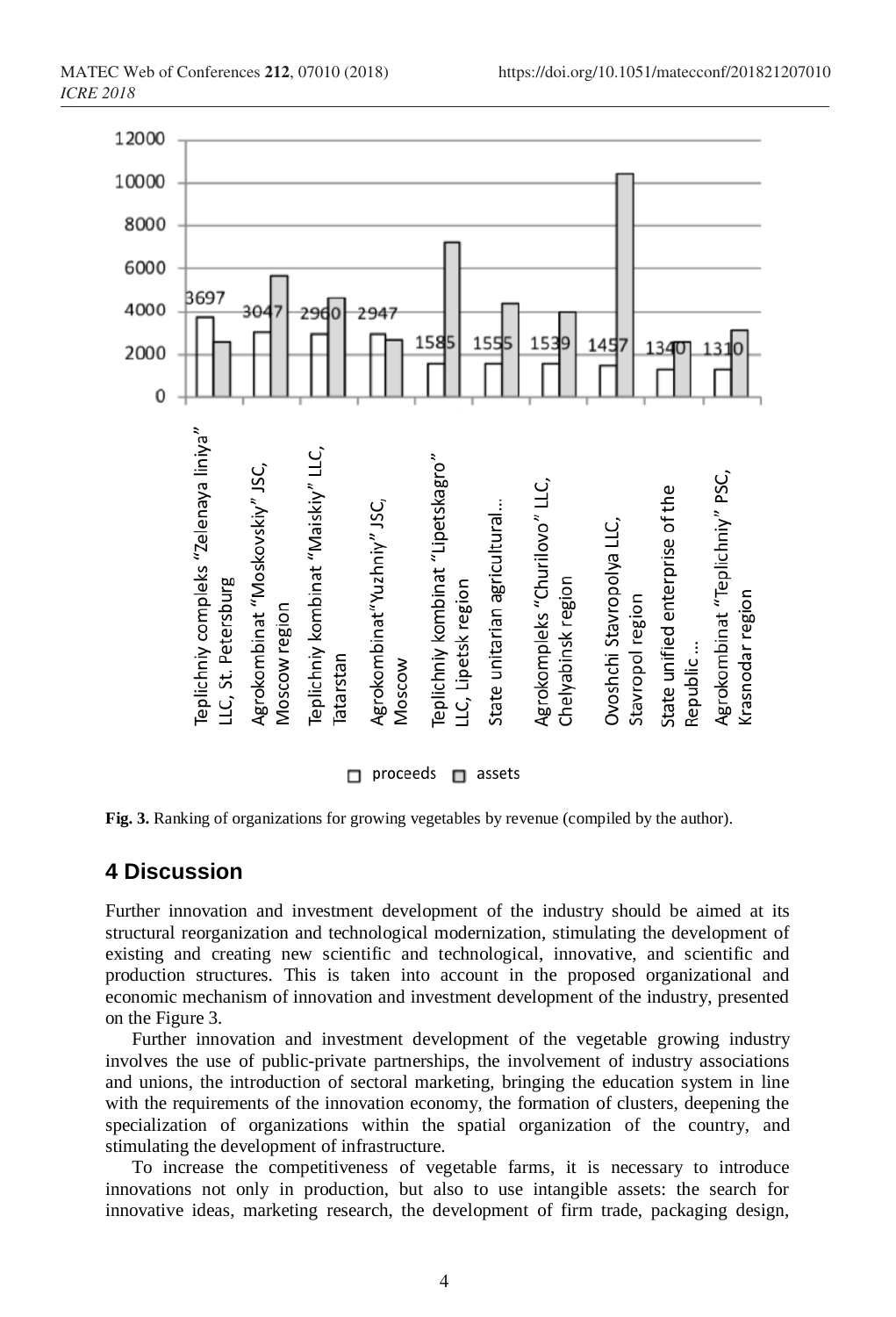

**Fig. 3.** Ranking of organizations for growing vegetables by revenue (compiled by the author).

## **4 Discussion**

Further innovation and investment development of the industry should be aimed at its structural reorganization and technological modernization, stimulating the development of existing and creating new scientific and technological, innovative, and scientific and production structures. This is taken into account in the proposed organizational and economic mechanism of innovation and investment development of the industry, presented on the Figure 3.

Further innovation and investment development of the vegetable growing industry involves the use of public-private partnerships, the involvement of industry associations and unions, the introduction of sectoral marketing, bringing the education system in line with the requirements of the innovation economy, the formation of clusters, deepening the specialization of organizations within the spatial organization of the country, and stimulating the development of infrastructure.

To increase the competitiveness of vegetable farms, it is necessary to introduce innovations not only in production, but also to use intangible assets: the search for innovative ideas, marketing research, the development of firm trade, packaging design,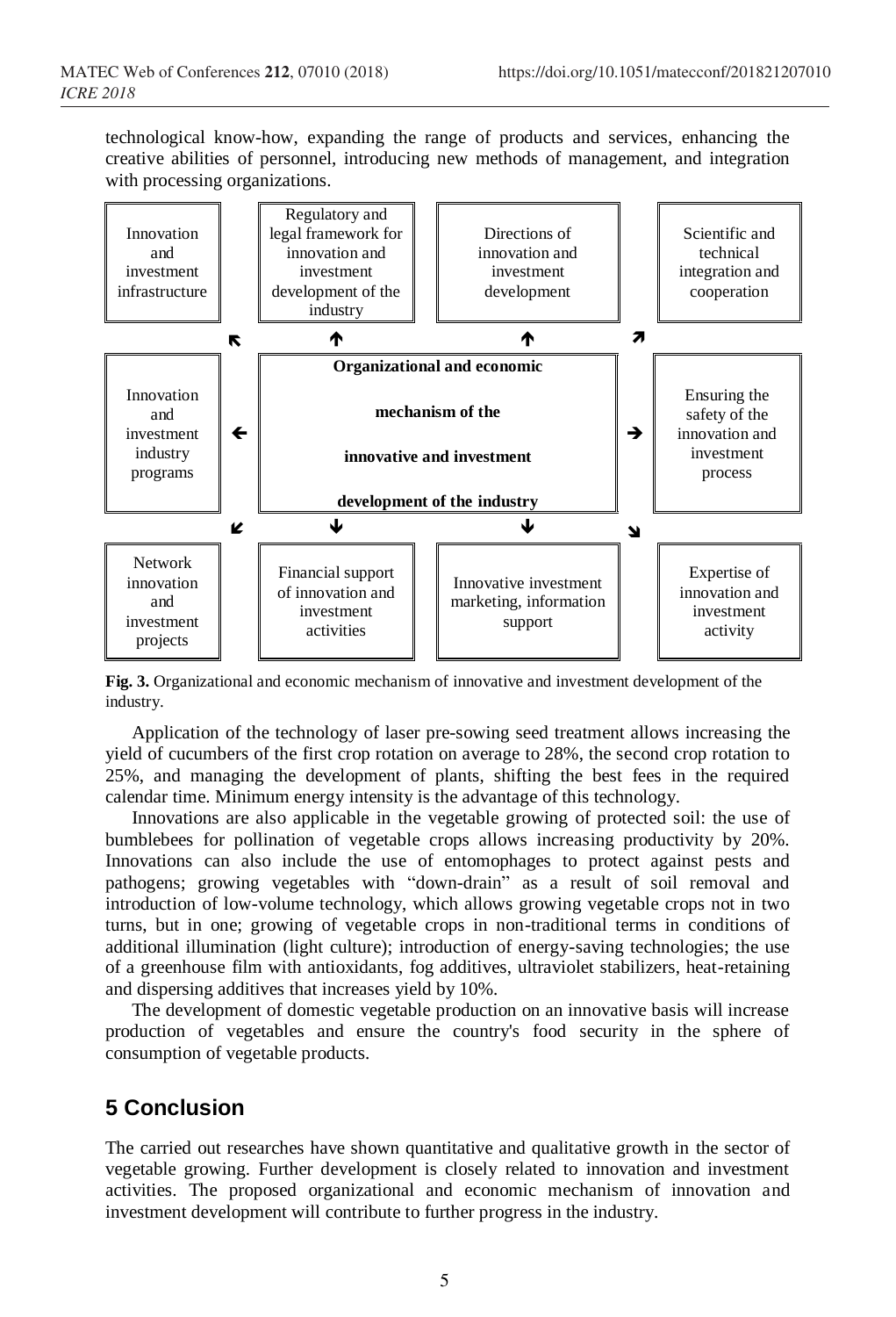technological know-how, expanding the range of products and services, enhancing the creative abilities of personnel, introducing new methods of management, and integration with processing organizations.



**Fig. 3.** Organizational and economic mechanism of innovative and investment development of the industry.

Application of the technology of laser pre-sowing seed treatment allows increasing the yield of cucumbers of the first crop rotation on average to 28%, the second crop rotation to 25%, and managing the development of plants, shifting the best fees in the required calendar time. Minimum energy intensity is the advantage of this technology.

Innovations are also applicable in the vegetable growing of protected soil: the use of bumblebees for pollination of vegetable crops allows increasing productivity by 20%. Innovations can also include the use of entomophages to protect against pests and pathogens; growing vegetables with "down-drain" as a result of soil removal and introduction of low-volume technology, which allows growing vegetable crops not in two turns, but in one; growing of vegetable crops in non-traditional terms in conditions of additional illumination (light culture); introduction of energy-saving technologies; the use of a greenhouse film with antioxidants, fog additives, ultraviolet stabilizers, heat-retaining and dispersing additives that increases yield by 10%.

The development of domestic vegetable production on an innovative basis will increase production of vegetables and ensure the country's food security in the sphere of consumption of vegetable products.

# **5 Conclusion**

The carried out researches have shown quantitative and qualitative growth in the sector of vegetable growing. Further development is closely related to innovation and investment activities. The proposed organizational and economic mechanism of innovation and investment development will contribute to further progress in the industry.